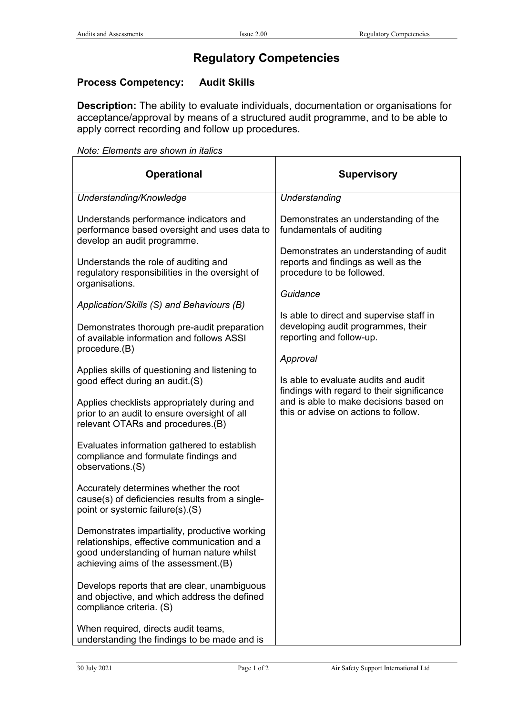## **Regulatory Competencies**

## **Process Competency: Audit Skills**

**Description:** The ability to evaluate individuals, documentation or organisations for acceptance/approval by means of a structured audit programme, and to be able to apply correct recording and follow up procedures.

*Note: Elements are shown in italics*

| <b>Operational</b>                                                                                                                                                                 | <b>Supervisory</b>                                                                                         |
|------------------------------------------------------------------------------------------------------------------------------------------------------------------------------------|------------------------------------------------------------------------------------------------------------|
| Understanding/Knowledge                                                                                                                                                            | Understanding                                                                                              |
| Understands performance indicators and<br>performance based oversight and uses data to<br>develop an audit programme.                                                              | Demonstrates an understanding of the<br>fundamentals of auditing                                           |
| Understands the role of auditing and<br>regulatory responsibilities in the oversight of<br>organisations.                                                                          | Demonstrates an understanding of audit<br>reports and findings as well as the<br>procedure to be followed. |
| Application/Skills (S) and Behaviours (B)                                                                                                                                          | Guidance                                                                                                   |
| Demonstrates thorough pre-audit preparation<br>of available information and follows ASSI                                                                                           | Is able to direct and supervise staff in<br>developing audit programmes, their<br>reporting and follow-up. |
| procedure.(B)                                                                                                                                                                      | Approval                                                                                                   |
| Applies skills of questioning and listening to<br>good effect during an audit.(S)                                                                                                  | Is able to evaluate audits and audit<br>findings with regard to their significance                         |
| Applies checklists appropriately during and<br>prior to an audit to ensure oversight of all<br>relevant OTARs and procedures.(B)                                                   | and is able to make decisions based on<br>this or advise on actions to follow.                             |
| Evaluates information gathered to establish<br>compliance and formulate findings and<br>observations.(S)                                                                           |                                                                                                            |
| Accurately determines whether the root<br>cause(s) of deficiencies results from a single-<br>point or systemic failure(s).(S)                                                      |                                                                                                            |
| Demonstrates impartiality, productive working<br>relationships, effective communication and a<br>good understanding of human nature whilst<br>achieving aims of the assessment.(B) |                                                                                                            |
| Develops reports that are clear, unambiguous<br>and objective, and which address the defined<br>compliance criteria. (S)                                                           |                                                                                                            |
| When required, directs audit teams,<br>understanding the findings to be made and is                                                                                                |                                                                                                            |